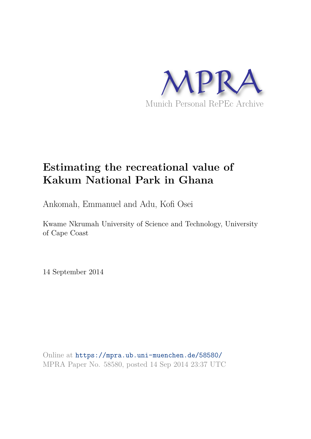

# **Estimating the recreational value of Kakum National Park in Ghana**

Ankomah, Emmanuel and Adu, Kofi Osei

Kwame Nkrumah University of Science and Technology, University of Cape Coast

14 September 2014

Online at https://mpra.ub.uni-muenchen.de/58580/ MPRA Paper No. 58580, posted 14 Sep 2014 23:37 UTC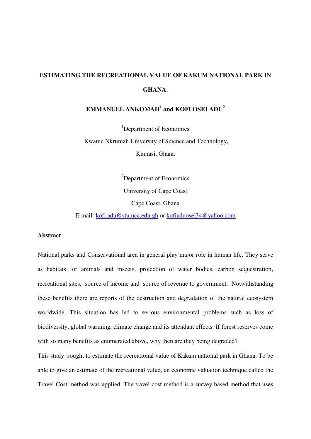## **ESTIMATING THE RECREATIONAL VALUE OF KAKUM NATIONAL PARK IN GHANA.**

#### $\boldsymbol{\mathrm{EMMANUEL\ ANKOMAH}^{1}}$  and KOFI OSEI  $\boldsymbol{\mathrm{ADU}^{2}}$

<sup>1</sup>Department of Economics Kwame Nkrumah University of Science and Technology, Kumasi, Ghana

> <sup>2</sup>Department of Economics University of Cape Coast Cape Coast, Ghana

E-mail: [kofi.adu@stu.ucc.edu.gh](mailto:kofi.adu@stu.ucc.edu.gh) or [kofiaduosei34@yahoo.com](mailto:kofiaduosei34@yahoo.com)

#### **Abstract**

National parks and Conservational area in general play major role in human life. They serve as habitats for animals and insects, protection of water bodies, carbon sequestration, recreational sites, source of income and source of revenue to government. Notwithstanding these benefits there are reports of the destruction and degradation of the natural ecosystem worldwide. This situation has led to serious environmental problems such as loss of biodiversity, global warming, climate change and its attendant effects. If forest reserves come with so many benefits as enumerated above, why then are they being degraded? This study sought to estimate the recreational value of Kakum national park in Ghana. To be

able to give an estimate of the recreational value, an economic valuation technique called the Travel Cost method was applied. The travel cost method is a survey based method that uses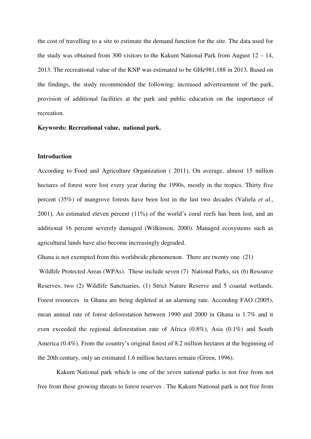the cost of travelling to a site to estimate the demand function for the site. The data used for the study was obtained from 300 visitors to the Kakum National Park from August  $12 - 14$ , 2013. The recreational value of the KNP was estimated to be GH¢981,188 in 2013. Based on the findings, the study recommended the following; increased advertisement of the park, provision of additional facilities at the park and public education on the importance of recreation.

**Keywords: Recreational value, national park.** 

#### **Introduction**

According to Food and Agriculture Organization ( 2011), On average, almost 15 million hectares of forest were lost every year during the 1990s, mostly in the tropics. Thirty five percent (35%) of mangrove forests have been lost in the last two decades (Valiela *et al*., 2001). An estimated eleven percent (11%) of the world's coral reefs has been lost, and an additional 16 percent severely damaged (Wilkinson, 2000). Managed ecosystems such as agricultural lands have also become increasingly degraded.

Ghana is not exempted from this worldwide phenomenon. There are twenty one (21)

 Wildlife Protected Areas (WPAs). These include seven (7) National Parks, six (6) Resource Reserves, two (2) Wildlife Sanctuaries, (1) Strict Nature Reserve and 5 coastal wetlands. Forest resources in Ghana are being depleted at an alarming rate. According FAO (2005), mean annual rate of forest deforestation between 1990 and 2000 in Ghana is 1.7% and it even exceeded the regional deforestation rate of Africa (0.8%), Asia (0.1%) and South America (0.4%). From the country's original forest of 8.2 million hectares at the beginning of the 20th century, only an estimated 1.6 million hectares remain (Green, 1996).

Kakum National park which is one of the seven national parks is not free from not free from these growing threats to forest reserves . The Kakum National park is not free from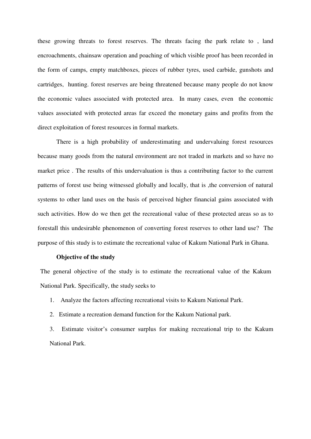these growing threats to forest reserves. The threats facing the park relate to , land encroachments, chainsaw operation and poaching of which visible proof has been recorded in the form of camps, empty matchboxes, pieces of rubber tyres, used carbide, gunshots and cartridges, hunting. forest reserves are being threatened because many people do not know the economic values associated with protected area. In many cases, even the economic values associated with protected areas far exceed the monetary gains and profits from the direct exploitation of forest resources in formal markets.

There is a high probability of underestimating and undervaluing forest resources because many goods from the natural environment are not traded in markets and so have no market price . The results of this undervaluation is thus a contributing factor to the current patterns of forest use being witnessed globally and locally, that is ,the conversion of natural systems to other land uses on the basis of perceived higher financial gains associated with such activities. How do we then get the recreational value of these protected areas so as to forestall this undesirable phenomenon of converting forest reserves to other land use? The purpose of this study is to estimate the recreational value of Kakum National Park in Ghana.

#### **Objective of the study**

The general objective of the study is to estimate the recreational value of the Kakum National Park. Specifically, the study seeks to

- 1. Analyze the factors affecting recreational visits to Kakum National Park.
- 2. Estimate a recreation demand function for the Kakum National park.

3. Estimate visitor's consumer surplus for making recreational trip to the Kakum National Park.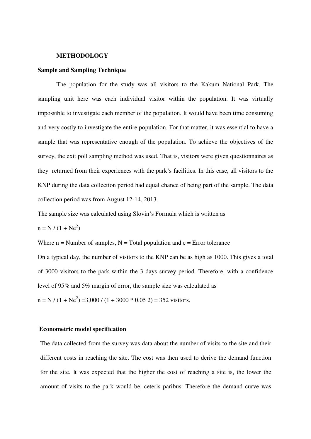#### **METHODOLOGY**

#### **Sample and Sampling Technique**

The population for the study was all visitors to the Kakum National Park. The sampling unit here was each individual visitor within the population. It was virtually impossible to investigate each member of the population. It would have been time consuming and very costly to investigate the entire population. For that matter, it was essential to have a sample that was representative enough of the population. To achieve the objectives of the survey, the exit poll sampling method was used. That is, visitors were given questionnaires as they returned from their experiences with the park's facilities. In this case, all visitors to the KNP during the data collection period had equal chance of being part of the sample. The data collection period was from August 12-14, 2013.

The sample size was calculated using Slovin's Formula which is written as

$$
n = N / (1 + Ne2)
$$

Where  $n =$  Number of samples,  $N =$  Total population and  $e =$  Error tolerance

On a typical day, the number of visitors to the KNP can be as high as 1000. This gives a total of 3000 visitors to the park within the 3 days survey period. Therefore, with a confidence level of 95% and 5% margin of error, the sample size was calculated as

 $n = N / (1 + Ne<sup>2</sup>) = 3,000 / (1 + 3000 * 0.05 2) = 352$  visitors.

#### **Econometric model specification**

The data collected from the survey was data about the number of visits to the site and their different costs in reaching the site. The cost was then used to derive the demand function for the site. It was expected that the higher the cost of reaching a site is, the lower the amount of visits to the park would be, ceteris paribus. Therefore the demand curve was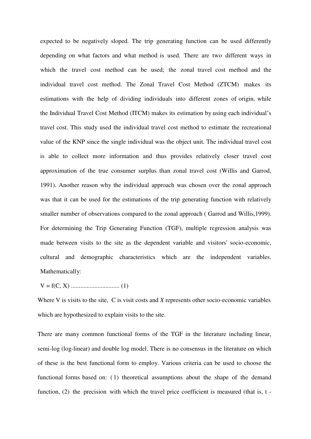expected to be negatively sloped. The trip generating function can be used differently depending on what factors and what method is used. There are two different ways in which the travel cost method can be used; the zonal travel cost method and the individual travel cost method. The Zonal Travel Cost Method (ZTCM) makes its estimations with the help of dividing individuals into different zones of origin, while the Individual Travel Cost Method (ITCM) makes its estimation by using each individual's travel cost. This study used the individual travel cost method to estimate the recreational value of the KNP since the single individual was the object unit. The individual travel cost is able to collect more information and thus provides relatively closer travel cost approximation of the true consumer surplus than zonal travel cost (Willis and Garrod, 1991). Another reason why the individual approach was chosen over the zonal approach was that it can be used for the estimations of the trip generating function with relatively smaller number of observations compared to the zonal approach ( Garrod and Willis,1999). For determining the Trip Generating Function (TGF), multiple regression analysis was made between visits to the site as the dependent variable and visitors' socio-economic, cultural and demographic characteristics which are the independent variables. Mathematically:

V = f(C, X) ............................... (1)

Where V is visits to the site, C is visit costs and *X* represents other socio-economic variables which are hypothesized to explain visits to the site.

There are many common functional forms of the TGF in the literature including linear, semi-log (log-linear) and double log model. There is no consensus in the literature on which of these is the best functional form to employ. Various criteria can be used to choose the functional forms based on: ( 1) theoretical assumptions about the shape of the demand function, (2) the precision with which the travel price coefficient is measured (that is, t -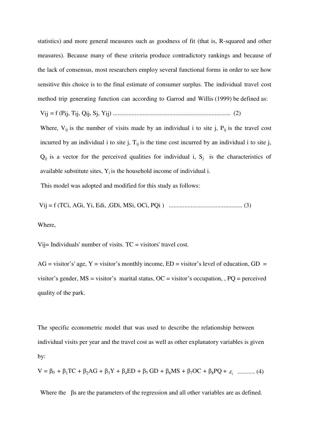statistics) and more general measures such as goodness of fit (that is, R-squared and other measures). Because many of these criteria produce contradictory rankings and because of the lack of consensus, most researchers employ several functional forms in order to see how sensitive this choice is to the final estimate of consumer surplus. The individual travel cost method trip generating function can according to Garrod and Willis (1999) be defined as:

Vij = f (Pij, Tij, Qij, Sj, Yij) ........................................................................... (2)

Where,  $V_{ij}$  is the number of visits made by an individual i to site j,  $P_{ij}$  is the travel cost incurred by an individual i to site j,  $T_{ij}$  is the time cost incurred by an individual i to site j,  $Q_{ij}$  is a vector for the perceived qualities for individual i,  $S_i$  is the characteristics of available substitute sites,  $Y_i$  is the household income of individual i.

This model was adopted and modified for this study as follows:

Vij = f (TCi, AGi, Yi, Edi, ,GDi, MSi, OCi, PQi ) ............................................... (3)

Where,

Vij= Individuals' number of visits. TC = visitors' travel cost.

 $AG = visitor's' age, Y = visitor's monthly income, ED = visitor's level of education, GD =$ visitor's gender,  $MS = visitor's$  marital status,  $OC = visitor's$  occupation, ,  $PQ = perceived$ quality of the park.

The specific econometric model that was used to describe the relationship between individual visits per year and the travel cost as well as other explanatory variables is given by:

$$
V = \beta_0 + \beta_1 TC + \beta_2 AG + \beta_3 Y + \beta_4 ED + \beta_5 GD + \beta_6 MS + \beta_7 OC + \beta_8 PQ + \varepsilon_i
$$
 ......... (4)

Where the βs are the parameters of the regression and all other variables are as defined.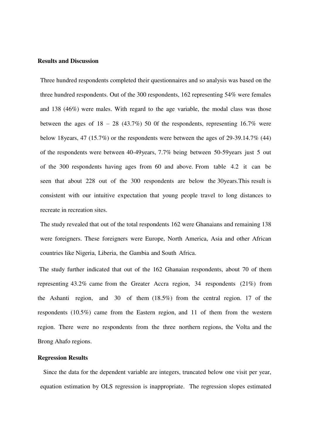#### **Results and Discussion**

Three hundred respondents completed their questionnaires and so analysis was based on the three hundred respondents. Out of the 300 respondents, 162 representing 54% were females and 138 (46%) were males. With regard to the age variable, the modal class was those between the ages of  $18 - 28$  (43.7%) 50 0f the respondents, representing 16.7% were below 18years, 47 (15.7%) or the respondents were between the ages of 29-39.14.7% (44) of the respondents were between 40-49years, 7.7% being between 50-59years just 5 out of the 300 respondents having ages from 60 and above. From table 4.2 it can be seen that about 228 out of the 300 respondents are below the 30years.This result is consistent with our intuitive expectation that young people travel to long distances to recreate in recreation sites.

The study revealed that out of the total respondents 162 were Ghanaians and remaining 138 were foreigners. These foreigners were Europe, North America, Asia and other African countries like Nigeria, Liberia, the Gambia and South Africa.

 The study further indicated that out of the 162 Ghanaian respondents, about 70 of them representing 43.2% came from the Greater Accra region, 34 respondents (21%) from the Ashanti region, and 30 of them (18.5%) from the central region. 17 of the respondents (10.5%) came from the Eastern region, and 11 of them from the western region. There were no respondents from the three northern regions, the Volta and the Brong Ahafo regions.

#### **Regression Results**

Since the data for the dependent variable are integers, truncated below one visit per year, equation estimation by OLS regression is inappropriate. The regression slopes estimated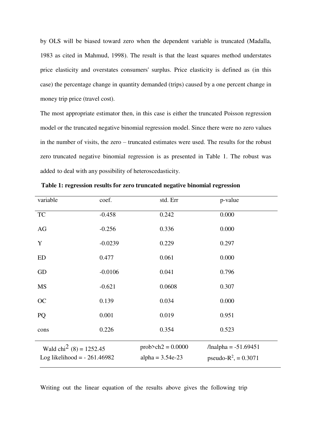by OLS will be biased toward zero when the dependent variable is truncated (Madalla, 1983 as cited in Mahmud, 1998). The result is that the least squares method understates price elasticity and overstates consumers' surplus. Price elasticity is defined as (in this case) the percentage change in quantity demanded (trips) caused by a one percent change in money trip price (travel cost).

The most appropriate estimator then, in this case is either the truncated Poisson regression model or the truncated negative binomial regression model. Since there were no zero values in the number of visits, the zero – truncated estimates were used. The results for the robust zero truncated negative binomial regression is as presented in Table 1. The robust was added to deal with any possibility of heteroscedasticity.

| variable                            | coef.     |                    | std. Err              | p-value                  |
|-------------------------------------|-----------|--------------------|-----------------------|--------------------------|
| <b>TC</b>                           | $-0.458$  |                    | 0.242                 | 0.000                    |
| AG                                  | $-0.256$  |                    | 0.336                 | 0.000                    |
| Y                                   | $-0.0239$ |                    | 0.229                 | 0.297                    |
| ED                                  | 0.477     |                    | 0.061                 | 0.000                    |
| GD                                  | $-0.0106$ |                    | 0.041                 | 0.796                    |
| MS                                  | $-0.621$  |                    | 0.0608                | 0.307                    |
| <b>OC</b>                           | 0.139     |                    | 0.034                 | 0.000                    |
| PQ                                  | 0.001     |                    | 0.019                 | 0.951                    |
| cons                                | 0.226     |                    | 0.354                 | 0.523                    |
| Wald chi <sup>2</sup> (8) = 1252.45 |           |                    | $prob > ch2 = 0.0000$ | $/$ lnalpha = -51.69451  |
| Log likelihood = $-261.46982$       |           | alpha = $3.54e-23$ |                       | pseudo- $R^2$ , = 0.3071 |

**Table 1: regression results for zero truncated negative binomial regression**

Writing out the linear equation of the results above gives the following trip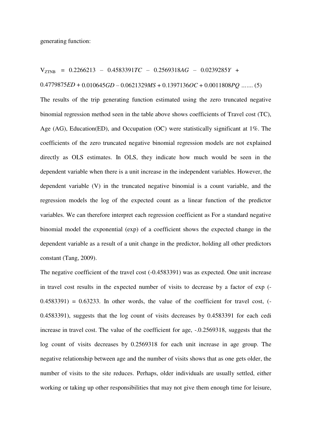VZTNB = 0.2266213 – 0.4583391*TC* – 0.2569318*AG* – 0.0239285*Y* +

#### 0.4779875*ED* + 0.010645*GD* – 0.0621329*MS* + 0.1397136*OC* + 0.0011808*PQ …*.... (5)

The results of the trip generating function estimated using the zero truncated negative binomial regression method seen in the table above shows coefficients of Travel cost (TC), Age (AG), Education(ED), and Occupation (OC) were statistically significant at 1%. The coefficients of the zero truncated negative binomial regression models are not explained directly as OLS estimates. In OLS, they indicate how much would be seen in the dependent variable when there is a unit increase in the independent variables. However, the dependent variable (V) in the truncated negative binomial is a count variable, and the regression models the log of the expected count as a linear function of the predictor variables. We can therefore interpret each regression coefficient as For a standard negative binomial model the exponential (exp) of a coefficient shows the expected change in the dependent variable as a result of a unit change in the predictor, holding all other predictors constant (Tang, 2009).

The negative coefficient of the travel cost (-0.4583391) was as expected. One unit increase in travel cost results in the expected number of visits to decrease by a factor of exp (-  $0.4583391$ ) =  $0.63233$ . In other words, the value of the coefficient for travel cost,  $(-$ 0.4583391), suggests that the log count of visits decreases by 0.4583391 for each cedi increase in travel cost. The value of the coefficient for age, -.0.2569318, suggests that the log count of visits decreases by 0.2569318 for each unit increase in age group. The negative relationship between age and the number of visits shows that as one gets older, the number of visits to the site reduces. Perhaps, older individuals are usually settled, either working or taking up other responsibilities that may not give them enough time for leisure,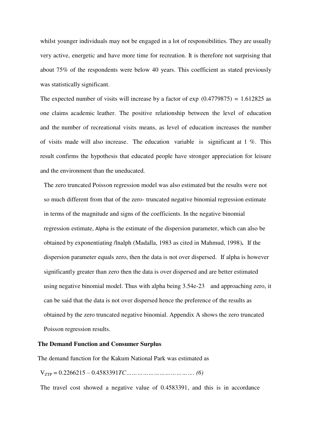whilst younger individuals may not be engaged in a lot of responsibilities. They are usually very active, energetic and have more time for recreation. It is therefore not surprising that about 75% of the respondents were below 40 years. This coefficient as stated previously was statistically significant.

The expected number of visits will increase by a factor of  $\exp(0.4779875) = 1.612825$  as one claims academic leather. The positive relationship between the level of education and the number of recreational visits means, as level of education increases the number of visits made will also increase. The education variable is significant at 1 %. This result confirms the hypothesis that educated people have stronger appreciation for leisure and the environment than the uneducated.

The zero truncated Poisson regression model was also estimated but the results were not so much different from that of the zero- truncated negative binomial regression estimate in terms of the magnitude and signs of the coefficients. In the negative binomial regression estimate, Alpha is the estimate of the dispersion parameter, which can also be obtained by exponentiating /lnalph (Madalla, 1983 as cited in Mahmud, 1998)**.** If the dispersion parameter equals zero, then the data is not over dispersed. If alpha is however significantly greater than zero then the data is over dispersed and are better estimated using negative binomial model. Thus with alpha being 3.54e-23 and approaching zero, it can be said that the data is not over dispersed hence the preference of the results as obtained by the zero truncated negative binomial. Appendix A shows the zero truncated Poisson regression results.

#### **The Demand Function and Consumer Surplus**

The demand function for the Kakum National Park was estimated as

VZTP = 0.2266215 – 0.4583391*TC………………………………. (6)*

The travel cost showed a negative value of 0.4583391, and this is in accordance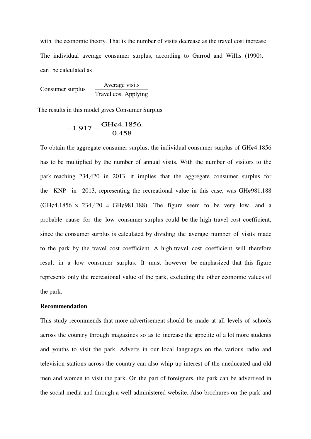with the economic theory. That is the number of visits decrease as the travel cost increase The individual average consumer surplus, according to Garrod and Willis (1990), can be calculated as

Consumer surplus  $=$  Average visits Travel cost Applying  $=$ 

The results in this model gives Consumer Surplus

$$
=1.917=\frac{GH\varphi4.1856.}{0.458}
$$

To obtain the aggregate consumer surplus, the individual consumer surplus of GH¢4.1856 has to be multiplied by the number of annual visits. With the number of visitors to the park reaching 234,420 in 2013, it implies that the aggregate consumer surplus for the KNP in 2013, representing the recreational value in this case, was GH¢981,188  $(GH\varphi4.1856 \times 234,420 = GH\varphi981,188)$ . The figure seem to be very low, and a probable cause for the low consumer surplus could be the high travel cost coefficient, since the consumer surplus is calculated by dividing the average number of visits made to the park by the travel cost coefficient. A high travel cost coefficient will therefore result in a low consumer surplus. It must however be emphasized that this figure represents only the recreational value of the park, excluding the other economic values of the park.

#### **Recommendation**

This study recommends that more advertisement should be made at all levels of schools across the country through magazines so as to increase the appetite of a lot more students and youths to visit the park. Adverts in our local languages on the various radio and television stations across the country can also whip up interest of the uneducated and old men and women to visit the park. On the part of foreigners, the park can be advertised in the social media and through a well administered website. Also brochures on the park and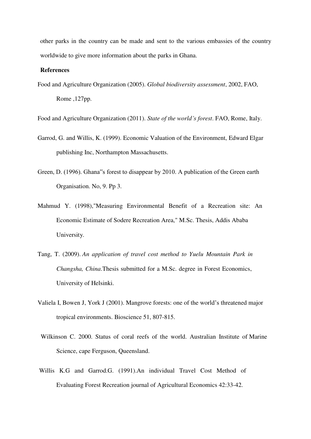other parks in the country can be made and sent to the various embassies of the country worldwide to give more information about the parks in Ghana.

#### **References**

Food and Agriculture Organization (2005). *Global biodiversity assessment*, 2002, FAO, Rome ,127pp.

Food and Agriculture Organization (2011). *State of the world's forest*. FAO, Rome, Italy.

- Garrod, G. and Willis, K. (1999). Economic Valuation of the Environment, Edward Elgar publishing Inc, Northampton Massachusetts.
- Green, D. (1996). Ghana"s forest to disappear by 2010. A publication of the Green earth Organisation. No, 9. Pp 3.
- Mahmud Y. (1998),"Measuring Environmental Benefit of a Recreation site: An Economic Estimate of Sodere Recreation Area," M.Sc. Thesis, Addis Ababa University.
- Tang, T. (2009). *An application of travel cost method to Yuelu Mountain Park in Changsha, China*.Thesis submitted for a M.Sc. degree in Forest Economics, University of Helsinki.
- Valiela I, Bowen J, York J (2001). Mangrove forests: one of the world's threatened major tropical environments. Bioscience 51, 807-815.
- Wilkinson C. 2000. Status of coral reefs of the world. Australian Institute of Marine Science, cape Ferguson, Queensland.
- Willis K.G and Garrod.G. (1991).An individual Travel Cost Method of Evaluating Forest Recreation journal of Agricultural Economics 42:33-42.